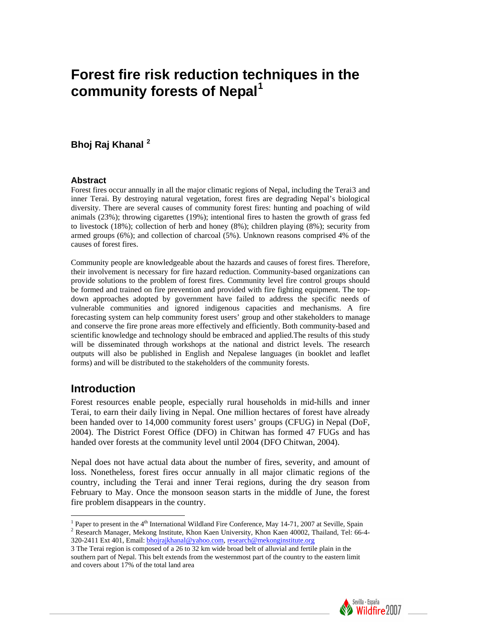# **Forest fire risk reduction techniques in the community forests of Nepal[1](#page-0-0)**

# **Bhoj Raj Khanal [2](#page-0-1)**

#### **Abstract**

Forest fires occur annually in all the major climatic regions of Nepal, including the Terai[3](#page-0-2) and inner Terai. By destroying natural vegetation, forest fires are degrading Nepal's biological diversity. There are several causes of community forest fires: hunting and poaching of wild animals (23%); throwing cigarettes (19%); intentional fires to hasten the growth of grass fed to livestock (18%); collection of herb and honey (8%); children playing (8%); security from armed groups (6%); and collection of charcoal (5%). Unknown reasons comprised 4% of the causes of forest fires.

Community people are knowledgeable about the hazards and causes of forest fires. Therefore, their involvement is necessary for fire hazard reduction. Community-based organizations can provide solutions to the problem of forest fires. Community level fire control groups should be formed and trained on fire prevention and provided with fire fighting equipment. The topdown approaches adopted by government have failed to address the specific needs of vulnerable communities and ignored indigenous capacities and mechanisms. A fire forecasting system can help community forest users' group and other stakeholders to manage and conserve the fire prone areas more effectively and efficiently. Both community-based and scientific knowledge and technology should be embraced and applied.The results of this study will be disseminated through workshops at the national and district levels. The research outputs will also be published in English and Nepalese languages (in booklet and leaflet forms) and will be distributed to the stakeholders of the community forests.

# **Introduction**

 $\overline{a}$ 

Forest resources enable people, especially rural households in mid-hills and inner Terai, to earn their daily living in Nepal. One million hectares of forest have already been handed over to 14,000 community forest users' groups (CFUG) in Nepal (DoF, 2004). The District Forest Office (DFO) in Chitwan has formed 47 FUGs and has handed over forests at the community level until 2004 (DFO Chitwan, 2004).

Nepal does not have actual data about the number of fires, severity, and amount of loss. Nonetheless, forest fires occur annually in all major climatic regions of the country, including the Terai and inner Terai regions, during the dry season from February to May. Once the monsoon season starts in the middle of June, the forest fire problem disappears in the country.

<span id="page-0-2"></span><sup>3</sup> The Terai region is composed of a 26 to 32 km wide broad belt of alluvial and fertile plain in the southern part of Nepal. This belt extends from the westernmost part of the country to the eastern limit and covers about 17% of the total land area



<span id="page-0-1"></span><span id="page-0-0"></span><sup>&</sup>lt;sup>1</sup> Paper to present in the 4<sup>th</sup> International Wildland Fire Conference, May 14-71, 2007 at Seville, Spain <sup>2</sup> Because Manager, Makang Institute, Khon Keen University, Khon Keen 40002, Theiland, Tal. 66 <sup>2</sup> Research Manager, Mekong Institute, Khon Kaen University, Khon Kaen 40002, Thailand, Tel: 66-4-320-2411 Ext 401, Email: [bhojrajkhanal@yahoo.com](mailto:bhojrajkhanal@yahoo.com), [research@mekonginstitute.org](mailto:research@mekonginstitute.org)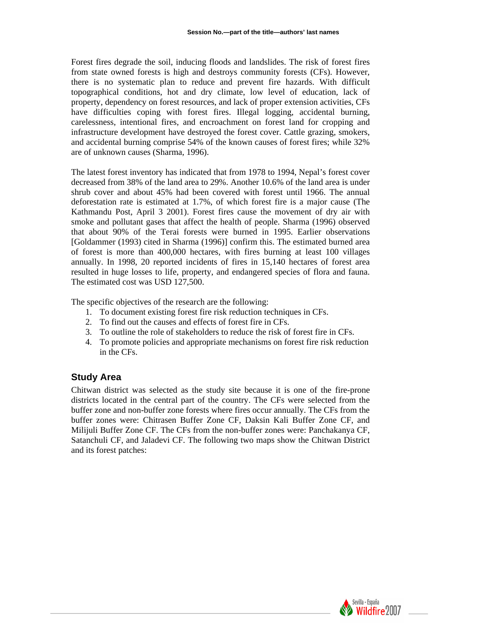Forest fires degrade the soil, inducing floods and landslides. The risk of forest fires from state owned forests is high and destroys community forests (CFs). However, there is no systematic plan to reduce and prevent fire hazards. With difficult topographical conditions, hot and dry climate, low level of education, lack of property, dependency on forest resources, and lack of proper extension activities, CFs have difficulties coping with forest fires. Illegal logging, accidental burning, carelessness, intentional fires, and encroachment on forest land for cropping and infrastructure development have destroyed the forest cover. Cattle grazing, smokers, and accidental burning comprise 54% of the known causes of forest fires; while 32% are of unknown causes (Sharma, 1996).

The latest forest inventory has indicated that from 1978 to 1994, Nepal's forest cover decreased from 38% of the land area to 29%. Another 10.6% of the land area is under shrub cover and about 45% had been covered with forest until 1966. The annual deforestation rate is estimated at 1.7%, of which forest fire is a major cause (The Kathmandu Post, April 3 2001). Forest fires cause the movement of dry air with smoke and pollutant gases that affect the health of people. Sharma (1996) observed that about 90% of the Terai forests were burned in 1995. Earlier observations [Goldammer (1993) cited in Sharma (1996)] confirm this. The estimated burned area of forest is more than 400,000 hectares, with fires burning at least 100 villages annually. In 1998, 20 reported incidents of fires in 15,140 hectares of forest area resulted in huge losses to life, property, and endangered species of flora and fauna. The estimated cost was USD 127,500.

The specific objectives of the research are the following:

- 1. To document existing forest fire risk reduction techniques in CFs.
- 2. To find out the causes and effects of forest fire in CFs.
- 3. To outline the role of stakeholders to reduce the risk of forest fire in CFs.
- 4. To promote policies and appropriate mechanisms on forest fire risk reduction in the CFs.

## **Study Area**

Chitwan district was selected as the study site because it is one of the fire-prone districts located in the central part of the country. The CFs were selected from the buffer zone and non-buffer zone forests where fires occur annually. The CFs from the buffer zones were: Chitrasen Buffer Zone CF, Daksin Kali Buffer Zone CF, and Milijuli Buffer Zone CF. The CFs from the non-buffer zones were: Panchakanya CF, Satanchuli CF, and Jaladevi CF. The following two maps show the Chitwan District and its forest patches:

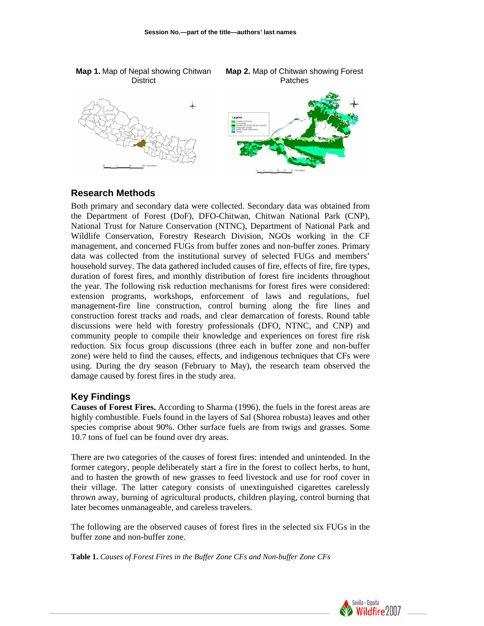

#### **Research Methods**

Both primary and secondary data were collected. Secondary data was obtained from the Department of Forest (DoF), DFO-Chitwan, Chitwan National Park (CNP), National Trust for Nature Conservation (NTNC), Department of National Park and Wildlife Conservation, Forestry Research Division, NGOs working in the CF management, and concerned FUGs from buffer zones and non-buffer zones. Primary data was collected from the institutional survey of selected FUGs and members' household survey. The data gathered included causes of fire, effects of fire, fire types, duration of forest fires, and monthly distribution of forest fire incidents throughout the year. The following risk reduction mechanisms for forest fires were considered: extension programs, workshops, enforcement of laws and regulations, fuel management-fire line construction, control burning along the fire lines and construction forest tracks and roads, and clear demarcation of forests. Round table discussions were held with forestry professionals (DFO, NTNC, and CNP) and community people to compile their knowledge and experiences on forest fire risk reduction. Six focus group discussions (three each in buffer zone and non-buffer zone) were held to find the causes, effects, and indigenous techniques that CFs were using. During the dry season (February to May), the research team observed the damage caused by forest fires in the study area.

#### **Key Findings**

**Causes of Forest Fires.** According to Sharma (1996), the fuels in the forest areas are highly combustible. Fuels found in the layers of Sal (Shorea robusta) leaves and other species comprise about 90%. Other surface fuels are from twigs and grasses. Some 10.7 tons of fuel can be found over dry areas.

There are two categories of the causes of forest fires: intended and unintended. In the former category, people deliberately start a fire in the forest to collect herbs, to hunt, and to hasten the growth of new grasses to feed livestock and use for roof cover in their village. The latter category consists of unextinguished cigarettes carelessly thrown away, burning of agricultural products, children playing, control burning that later becomes unmanageable, and careless travelers.

The following are the observed causes of forest fires in the selected six FUGs in the buffer zone and non-buffer zone.

**Table 1.** *Causes of Forest Fires in the Buffer Zone CFs and Non-buffer Zone CFs*

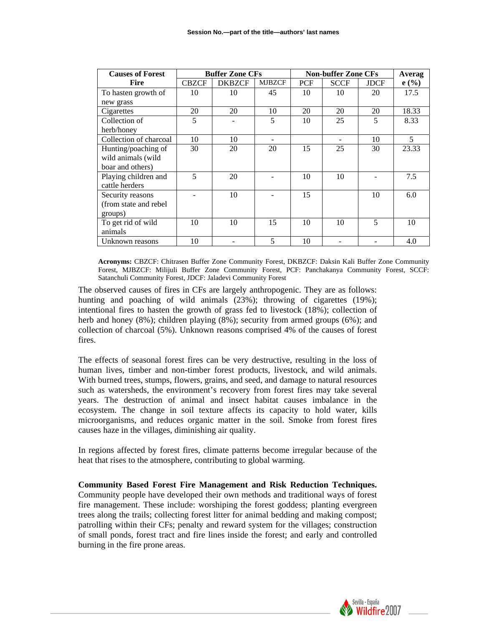| <b>Causes of Forest</b> | <b>Buffer Zone CFs</b> |               |               | <b>Non-buffer Zone CFs</b> |             |             | Averag |
|-------------------------|------------------------|---------------|---------------|----------------------------|-------------|-------------|--------|
| <b>Fire</b>             | <b>CBZCF</b>           | <b>DKBZCF</b> | <b>MJBZCF</b> | <b>PCF</b>                 | <b>SCCF</b> | <b>JDCF</b> | e(%)   |
| To hasten growth of     | 10                     | 10            | 45            | 10                         | 10          | 20          | 17.5   |
| new grass               |                        |               |               |                            |             |             |        |
| Cigarettes              | 20                     | 20            | 10            | 20                         | 20          | 20          | 18.33  |
| Collection of           | 5                      |               | 5             | 10                         | 25          | 5           | 8.33   |
| herb/honey              |                        |               |               |                            |             |             |        |
| Collection of charcoal  | 10                     | 10            |               |                            |             | 10          | 5      |
| Hunting/poaching of     | 30                     | 20            | 20            | 15                         | 25          | 30          | 23.33  |
| wild animals (wild      |                        |               |               |                            |             |             |        |
| boar and others)        |                        |               |               |                            |             |             |        |
| Playing children and    | 5                      | 20            |               | 10                         | 10          |             | 7.5    |
| cattle herders          |                        |               |               |                            |             |             |        |
| Security reasons        |                        | 10            |               | 15                         |             | 10          | 6.0    |
| (from state and rebel   |                        |               |               |                            |             |             |        |
| groups)                 |                        |               |               |                            |             |             |        |
| To get rid of wild      | 10                     | 10            | 15            | 10                         | 10          | 5           | 10     |
| animals                 |                        |               |               |                            |             |             |        |
| Unknown reasons         | 10                     |               | 5             | 10                         |             |             | 4.0    |

**Acronyms:** CBZCF: Chitrasen Buffer Zone Community Forest, DKBZCF: Daksin Kali Buffer Zone Community Forest, MJBZCF: Milijuli Buffer Zone Community Forest, PCF: Panchakanya Community Forest, SCCF: Satanchuli Community Forest, JDCF: Jaladevi Community Forest

The observed causes of fires in CFs are largely anthropogenic. They are as follows: hunting and poaching of wild animals (23%); throwing of cigarettes (19%); intentional fires to hasten the growth of grass fed to livestock (18%); collection of herb and honey (8%); children playing (8%); security from armed groups (6%); and collection of charcoal (5%). Unknown reasons comprised 4% of the causes of forest fires.

The effects of seasonal forest fires can be very destructive, resulting in the loss of human lives, timber and non-timber forest products, livestock, and wild animals. With burned trees, stumps, flowers, grains, and seed, and damage to natural resources such as watersheds, the environment's recovery from forest fires may take several years. The destruction of animal and insect habitat causes imbalance in the ecosystem. The change in soil texture affects its capacity to hold water, kills microorganisms, and reduces organic matter in the soil. Smoke from forest fires causes haze in the villages, diminishing air quality.

In regions affected by forest fires, climate patterns become irregular because of the heat that rises to the atmosphere, contributing to global warming.

**Community Based Forest Fire Management and Risk Reduction Techniques.**  Community people have developed their own methods and traditional ways of forest fire management. These include: worshiping the forest goddess; planting evergreen trees along the trails; collecting forest litter for animal bedding and making compost; patrolling within their CFs; penalty and reward system for the villages; construction of small ponds, forest tract and fire lines inside the forest; and early and controlled burning in the fire prone areas.

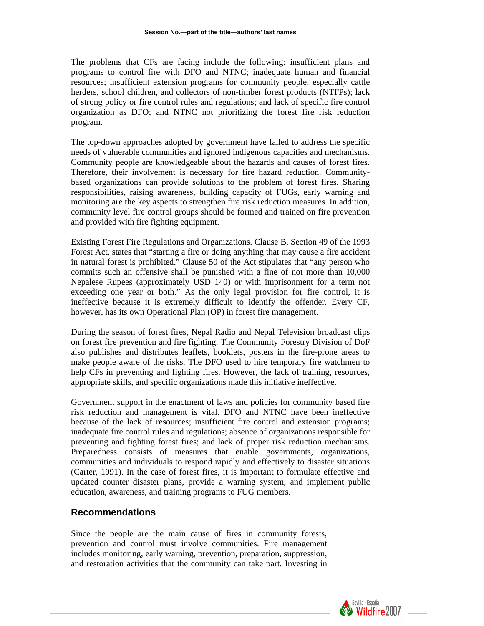The problems that CFs are facing include the following: insufficient plans and programs to control fire with DFO and NTNC; inadequate human and financial resources; insufficient extension programs for community people, especially cattle herders, school children, and collectors of non-timber forest products (NTFPs); lack of strong policy or fire control rules and regulations; and lack of specific fire control organization as DFO; and NTNC not prioritizing the forest fire risk reduction program.

The top-down approaches adopted by government have failed to address the specific needs of vulnerable communities and ignored indigenous capacities and mechanisms. Community people are knowledgeable about the hazards and causes of forest fires. Therefore, their involvement is necessary for fire hazard reduction. Communitybased organizations can provide solutions to the problem of forest fires. Sharing responsibilities, raising awareness, building capacity of FUGs, early warning and monitoring are the key aspects to strengthen fire risk reduction measures. In addition, community level fire control groups should be formed and trained on fire prevention and provided with fire fighting equipment.

Existing Forest Fire Regulations and Organizations. Clause B, Section 49 of the 1993 Forest Act, states that "starting a fire or doing anything that may cause a fire accident in natural forest is prohibited." Clause 50 of the Act stipulates that "any person who commits such an offensive shall be punished with a fine of not more than 10,000 Nepalese Rupees (approximately USD 140) or with imprisonment for a term not exceeding one year or both." As the only legal provision for fire control, it is ineffective because it is extremely difficult to identify the offender. Every CF, however, has its own Operational Plan (OP) in forest fire management.

During the season of forest fires, Nepal Radio and Nepal Television broadcast clips on forest fire prevention and fire fighting. The Community Forestry Division of DoF also publishes and distributes leaflets, booklets, posters in the fire-prone areas to make people aware of the risks. The DFO used to hire temporary fire watchmen to help CFs in preventing and fighting fires. However, the lack of training, resources, appropriate skills, and specific organizations made this initiative ineffective.

Government support in the enactment of laws and policies for community based fire risk reduction and management is vital. DFO and NTNC have been ineffective because of the lack of resources; insufficient fire control and extension programs; inadequate fire control rules and regulations; absence of organizations responsible for preventing and fighting forest fires; and lack of proper risk reduction mechanisms. Preparedness consists of measures that enable governments, organizations, communities and individuals to respond rapidly and effectively to disaster situations (Carter, 1991). In the case of forest fires, it is important to formulate effective and updated counter disaster plans, provide a warning system, and implement public education, awareness, and training programs to FUG members.

#### **Recommendations**

Since the people are the main cause of fires in community forests, prevention and control must involve communities. Fire management includes monitoring, early warning, prevention, preparation, suppression, and restoration activities that the community can take part. Investing in

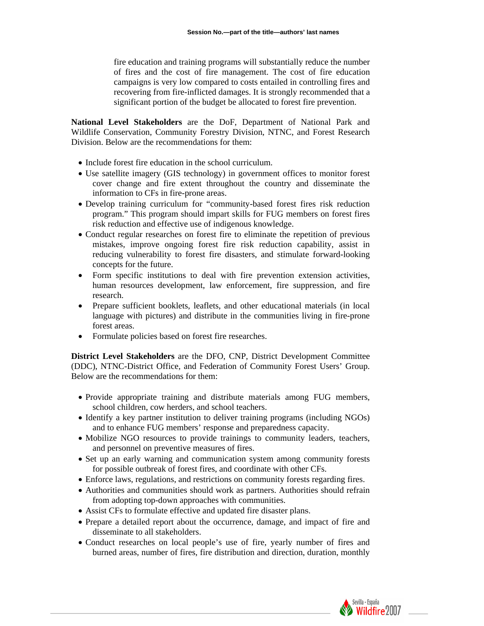fire education and training programs will substantially reduce the number of fires and the cost of fire management. The cost of fire education campaigns is very low compared to costs entailed in controlling fires and recovering from fire-inflicted damages. It is strongly recommended that a significant portion of the budget be allocated to forest fire prevention.

**National Level Stakeholders** are the DoF, Department of National Park and Wildlife Conservation, Community Forestry Division, NTNC, and Forest Research Division. Below are the recommendations for them:

- Include forest fire education in the school curriculum.
- Use satellite imagery (GIS technology) in government offices to monitor forest cover change and fire extent throughout the country and disseminate the information to CFs in fire-prone areas.
- Develop training curriculum for "community-based forest fires risk reduction program." This program should impart skills for FUG members on forest fires risk reduction and effective use of indigenous knowledge.
- Conduct regular researches on forest fire to eliminate the repetition of previous mistakes, improve ongoing forest fire risk reduction capability, assist in reducing vulnerability to forest fire disasters, and stimulate forward-looking concepts for the future.
- Form specific institutions to deal with fire prevention extension activities, human resources development, law enforcement, fire suppression, and fire research.
- Prepare sufficient booklets, leaflets, and other educational materials (in local language with pictures) and distribute in the communities living in fire-prone forest areas.
- Formulate policies based on forest fire researches.

**District Level Stakeholders** are the DFO, CNP, District Development Committee (DDC), NTNC-District Office, and Federation of Community Forest Users' Group. Below are the recommendations for them:

- Provide appropriate training and distribute materials among FUG members, school children, cow herders, and school teachers.
- Identify a key partner institution to deliver training programs (including NGOs) and to enhance FUG members' response and preparedness capacity.
- Mobilize NGO resources to provide trainings to community leaders, teachers, and personnel on preventive measures of fires.
- Set up an early warning and communication system among community forests for possible outbreak of forest fires, and coordinate with other CFs.
- Enforce laws, regulations, and restrictions on community forests regarding fires.
- Authorities and communities should work as partners. Authorities should refrain from adopting top-down approaches with communities.
- Assist CFs to formulate effective and updated fire disaster plans.
- Prepare a detailed report about the occurrence, damage, and impact of fire and disseminate to all stakeholders.
- Conduct researches on local people's use of fire, yearly number of fires and burned areas, number of fires, fire distribution and direction, duration, monthly

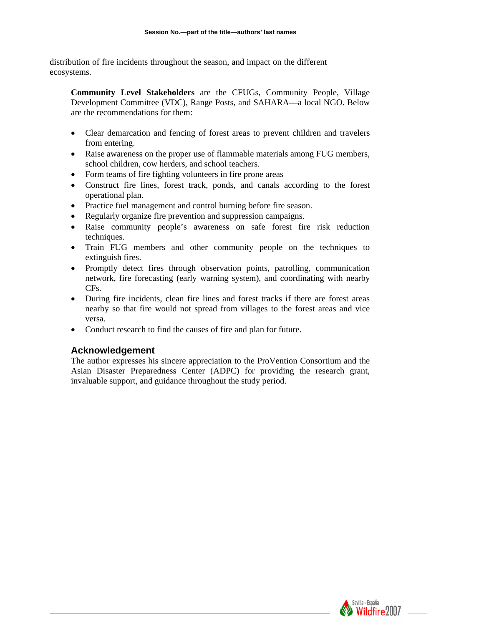distribution of fire incidents throughout the season, and impact on the different ecosystems.

**Community Level Stakeholders** are the CFUGs, Community People, Village Development Committee (VDC), Range Posts, and SAHARA—a local NGO. Below are the recommendations for them:

- Clear demarcation and fencing of forest areas to prevent children and travelers from entering.
- Raise awareness on the proper use of flammable materials among FUG members, school children, cow herders, and school teachers.
- Form teams of fire fighting volunteers in fire prone areas
- Construct fire lines, forest track, ponds, and canals according to the forest operational plan.
- Practice fuel management and control burning before fire season.
- Regularly organize fire prevention and suppression campaigns.
- Raise community people's awareness on safe forest fire risk reduction techniques.
- Train FUG members and other community people on the techniques to extinguish fires.
- Promptly detect fires through observation points, patrolling, communication network, fire forecasting (early warning system), and coordinating with nearby CFs.
- During fire incidents, clean fire lines and forest tracks if there are forest areas nearby so that fire would not spread from villages to the forest areas and vice versa.
- Conduct research to find the causes of fire and plan for future.

## **Acknowledgement**

The author expresses his sincere appreciation to the ProVention Consortium and the Asian Disaster Preparedness Center (ADPC) for providing the research grant, invaluable support, and guidance throughout the study period.